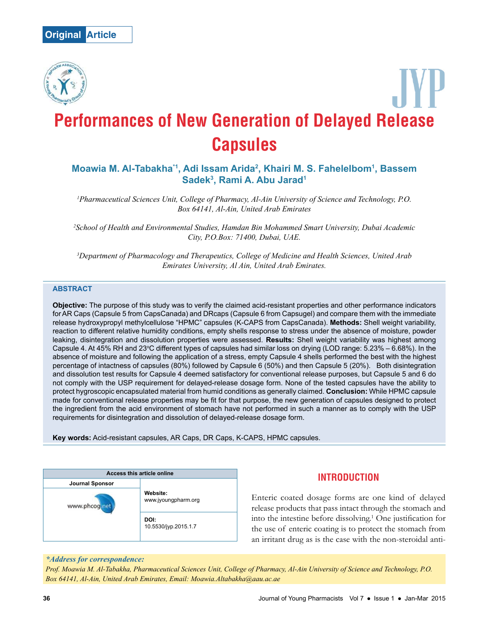

# **Performances of New Generation of Delayed Release Capsules**

# **Moawia M. Al-Tabakha\*1, Adi Issam Arida<sup>2</sup> , Khairi M. S. Fahelelbom<sup>1</sup> , Bassem Sadek<sup>3</sup> , Rami A. Abu Jarad<sup>1</sup>**

*<sup>1</sup>Pharmaceutical Sciences Unit, College of Pharmacy, Al-Ain University of Science and Technology, P.O. Box 64141, Al-Ain, United Arab Emirates*

*<sup>2</sup>School of Health and Environmental Studies, Hamdan Bin Mohammed Smart University, Dubai Academic City, P.O.Box: 71400, Dubai, UAE.*

*<sup>3</sup>Department of Pharmacology and Therapeutics, College of Medicine and Health Sciences, United Arab Emirates University, Al Ain, United Arab Emirates.*

#### **ABSTRACT**

**Objective:** The purpose of this study was to verify the claimed acid-resistant properties and other performance indicators for AR Caps (Capsule 5 from CapsCanada) and DRcaps (Capsule 6 from Capsugel) and compare them with the immediate release hydroxypropyl methylcellulose "HPMC" capsules (K-CAPS from CapsCanada). **Methods:** Shell weight variability, reaction to different relative humidity conditions, empty shells response to stress under the absence of moisture, powder leaking, disintegration and dissolution properties were assessed. **Results:** Shell weight variability was highest among Capsule 4. At 45% RH and 23°C different types of capsules had similar loss on drying (LOD range:  $5.23% - 6.68%$ ). In the absence of moisture and following the application of a stress, empty Capsule 4 shells performed the best with the highest percentage of intactness of capsules (80%) followed by Capsule 6 (50%) and then Capsule 5 (20%). Both disintegration and dissolution test results for Capsule 4 deemed satisfactory for conventional release purposes, but Capsule 5 and 6 do not comply with the USP requirement for delayed-release dosage form. None of the tested capsules have the ability to protect hygroscopic encapsulated material from humid conditions as generally claimed. **Conclusion:** While HPMC capsule made for conventional release properties may be fit for that purpose, the new generation of capsules designed to protect the ingredient from the acid environment of stomach have not performed in such a manner as to comply with the USP requirements for disintegration and dissolution of delayed-release dosage form.

**Key words:** Acid-resistant capsules, AR Caps, DR Caps, K-CAPS, HPMC capsules.



# **INTRODUCTION**

Enteric coated dosage forms are one kind of delayed release products that pass intact through the stomach and into the intestine before dissolving.<sup>1</sup> One justification for the use of enteric coating is to protect the stomach from an irritant drug as is the case with the non-steroidal anti-

### *\*Address for correspondence:*

*Prof. Moawia M. Al-Tabakha, Pharmaceutical Sciences Unit, College of Pharmacy, Al-Ain University of Science and Technology, P.O. Box 64141, Al-Ain, United Arab Emirates, Email: Moawia.Altabakha@aau.ac.ae*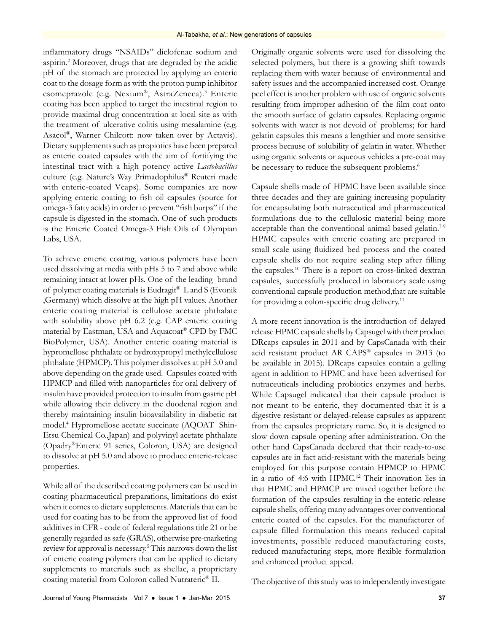inflammatory drugs "NSAIDs" diclofenac sodium and aspirin.<sup>2</sup> Moreover, drugs that are degraded by the acidic pH of the stomach are protected by applying an enteric coat to the dosage form as with the proton pump inhibitor esomeprazole (e.g. Nexium®, AstraZeneca).<sup>3</sup> Enteric coating has been applied to target the intestinal region to provide maximal drug concentration at local site as with the treatment of ulcerative colitis using mesalamine (e.g. Asacol® , Warner Chilcott: now taken over by Actavis). Dietary supplements such as propiotics have been prepared as enteric coated capsules with the aim of fortifying the intestinal tract with a high potency active *Lactobacillus* culture (e.g. Nature's Way Primadophilus® Reuteri made with enteric-coated Vcaps). Some companies are now applying enteric coating to fish oil capsules (source for omega-3 fatty acids) in order to prevent "fish burps" if the capsule is digested in the stomach. One of such products is the Enteric Coated Omega-3 Fish Oils of Olympian Labs, USA.

To achieve enteric coating, various polymers have been used dissolving at media with pHs 5 to 7 and above while remaining intact at lower pHs. One of the leading brand of polymer coating materials is Eudragit® L and S (Evonik ,Germany) which dissolve at the high pH values. Another enteric coating material is cellulose acetate phthalate with solubility above pH 6.2 (e.g. CAP enteric coating material by Eastman, USA and Aquacoat® CPD by FMC BioPolymer, USA). Another enteric coating material is hypromellose phthalate or hydroxypropyl methylcellulose phthalate (HPMCP). This polymer dissolves at pH 5.0 and above depending on the grade used. Capsules coated with HPMCP and filled with nanoparticles for oral delivery of insulin have provided protection to insulin from gastric pH while allowing their delivery in the duodenal region and thereby maintaining insulin bioavailability in diabetic rat model.<sup>4</sup> Hypromellose acetate succinate (AQOAT Shin-Etsu Chemical Co.,Japan) and polyvinyl acetate phthalate (Opadry®Enteric 91 series, Coloron, USA) are designed to dissolve at pH 5.0 and above to produce enteric-release properties.

While all of the described coating polymers can be used in coating pharmaceutical preparations, limitations do exist when it comes to dietary supplements. Materials that can be used for coating has to be from the approved list of food additives in CFR - code of federal regulations title 21 or be generally regarded as safe (GRAS), otherwise pre-marketing review for approval is necessary.<sup>5</sup> This narrows down the list of enteric coating polymers that can be applied to dietary supplements to materials such as shellac, a proprietary coating material from Coloron called Nutrateric® II.

Originally organic solvents were used for dissolving the selected polymers, but there is a growing shift towards replacing them with water because of environmental and safety issues and the accompanied increased cost. Orange peel effect is another problem with use of organic solvents resulting from improper adhesion of the film coat onto the smooth surface of gelatin capsules. Replacing organic solvents with water is not devoid of problems; for hard gelatin capsules this means a lengthier and more sensitive process because of solubility of gelatin in water. Whether using organic solvents or aqueous vehicles a pre-coat may be necessary to reduce the subsequent problems.<sup>6</sup>

Capsule shells made of HPMC have been available since three decades and they are gaining increasing popularity for encapsulating both nutraceutical and pharmaceutical formulations due to the cellulosic material being more acceptable than the conventional animal based gelatin.<sup>7-9</sup> HPMC capsules with enteric coating are prepared in small scale using fluidized bed process and the coated capsule shells do not require sealing step after filling the capsules.<sup>10</sup> There is a report on cross-linked dextran capsules, successfully produced in laboratory scale using conventional capsule production method,that are suitable for providing a colon-specific drug delivery.<sup>11</sup>

A more recent innovation is the introduction of delayed release HPMC capsule shells by Capsugel with their product DRcaps capsules in 2011 and by CapsCanada with their acid resistant product AR CAPS® capsules in 2013 (to be available in 2015). DRcaps capsules contain a gelling agent in addition to HPMC and have been advertised for nutraceuticals including probiotics enzymes and herbs. While Capsugel indicated that their capsule product is not meant to be enteric, they documented that it is a digestive resistant or delayed-release capsules as apparent from the capsules proprietary name. So, it is designed to slow down capsule opening after administration. On the other hand CapsCanada declared that their ready-to-use capsules are in fact acid-resistant with the materials being employed for this purpose contain HPMCP to HPMC in a ratio of 4:6 with HPMC.<sup>12</sup> Their innovation lies in that HPMC and HPMCP are mixed together before the formation of the capsules resulting in the enteric-release capsule shells, offering many advantages over conventional enteric coated of the capsules. For the manufacturer of capsule filled formulation this means reduced capital investments, possible reduced manufacturing costs, reduced manufacturing steps, more flexible formulation and enhanced product appeal.

The objective of this study was to independently investigate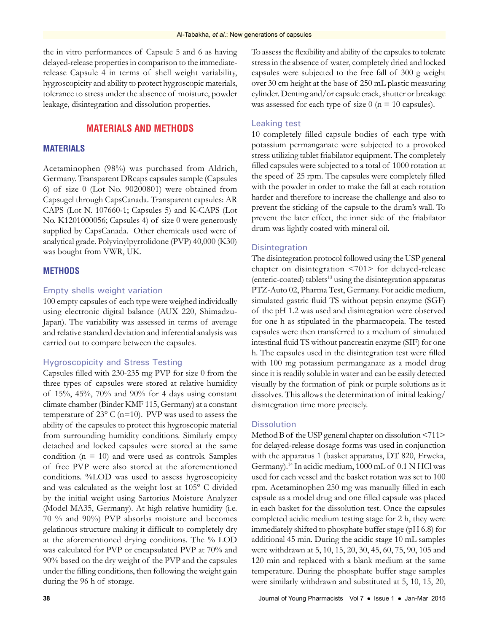the in vitro performances of Capsule 5 and 6 as having delayed-release properties in comparison to the immediaterelease Capsule 4 in terms of shell weight variability, hygroscopicity and ability to protect hygroscopic materials, tolerance to stress under the absence of moisture, powder leakage, disintegration and dissolution properties.

# **MATERIALS AND METHODS**

## **MATERIALS**

Acetaminophen (98%) was purchased from Aldrich, Germany. Transparent DRcaps capsules sample (Capsules 6) of size 0 (Lot No. 90200801) were obtained from Capsugel through CapsCanada. Transparent capsules: AR CAPS (Lot N. 107660-1; Capsules 5) and K-CAPS (Lot No. K1201000056; Capsules 4) of size 0 were generously supplied by CapsCanada. Other chemicals used were of analytical grade. Polyvinylpyrrolidone (PVP) 40,000 (K30) was bought from VWR, UK.

#### **METHODS**

#### Empty shells weight variation

100 empty capsules of each type were weighed individually using electronic digital balance (AUX 220, Shimadzu-Japan). The variability was assessed in terms of average and relative standard deviation and inferential analysis was carried out to compare between the capsules.

#### Hygroscopicity and Stress Testing

Capsules filled with 230-235 mg PVP for size 0 from the three types of capsules were stored at relative humidity of 15%, 45%, 70% and 90% for 4 days using constant climate chamber (Binder KMF 115, Germany) at a constant temperature of  $23^{\circ}$  C (n=10). PVP was used to assess the ability of the capsules to protect this hygroscopic material from surrounding humidity conditions. Similarly empty detached and locked capsules were stored at the same condition ( $n = 10$ ) and were used as controls. Samples of free PVP were also stored at the aforementioned conditions. %LOD was used to assess hygroscopicity and was calculated as the weight lost at 105° C divided by the initial weight using Sartorius Moisture Analyzer (Model MA35, Germany). At high relative humidity (i.e. 70 % and 90%) PVP absorbs moisture and becomes gelatinous structure making it difficult to completely dry at the aforementioned drying conditions. The % LOD was calculated for PVP or encapsulated PVP at 70% and 90% based on the dry weight of the PVP and the capsules under the filling conditions, then following the weight gain during the 96 h of storage.

To assess the flexibility and ability of the capsules to tolerate stress in the absence of water, completely dried and locked capsules were subjected to the free fall of 300 g weight over 30 cm height at the base of 250 mL plastic measuring cylinder. Denting and/or capsule crack, shutter or breakage was assessed for each type of size  $0$  (n = 10 capsules).

#### Leaking test

10 completely filled capsule bodies of each type with potassium permanganate were subjected to a provoked stress utilizing tablet friabilator equipment. The completely filled capsules were subjected to a total of 1000 rotation at the speed of 25 rpm. The capsules were completely filled with the powder in order to make the fall at each rotation harder and therefore to increase the challenge and also to prevent the sticking of the capsule to the drum's wall. To prevent the later effect, the inner side of the friabilator drum was lightly coated with mineral oil.

#### **Disintegration**

The disintegration protocol followed using the USP general chapter on disintegration <701> for delayed-release (enteric-coated) tablets<sup>13</sup> using the disintegration apparatus PTZ-Auto 02, Pharma Test, Germany. For acidic medium, simulated gastric fluid TS without pepsin enzyme (SGF) of the pH 1.2 was used and disintegration were observed for one h as stipulated in the pharmacopeia. The tested capsules were then transferred to a medium of simulated intestinal fluid TS without pancreatin enzyme (SIF) for one h. The capsules used in the disintegration test were filled with 100 mg potassium permanganate as a model drug since it is readily soluble in water and can be easily detected visually by the formation of pink or purple solutions as it dissolves. This allows the determination of initial leaking/ disintegration time more precisely.

### **Dissolution**

Method B of the USP general chapter on dissolution <711> for delayed-release dosage forms was used in conjunction with the apparatus 1 (basket apparatus, DT 820, Erweka, Germany).14 In acidic medium, 1000 mL of 0.1 N HCl was used for each vessel and the basket rotation was set to 100 rpm. Acetaminophen 250 mg was manually filled in each capsule as a model drug and one filled capsule was placed in each basket for the dissolution test. Once the capsules completed acidic medium testing stage for 2 h, they were immediately shifted to phosphate buffer stage (pH 6.8) for additional 45 min. During the acidic stage 10 mL samples were withdrawn at 5, 10, 15, 20, 30, 45, 60, 75, 90, 105 and 120 min and replaced with a blank medium at the same temperature. During the phosphate buffer stage samples were similarly withdrawn and substituted at 5, 10, 15, 20,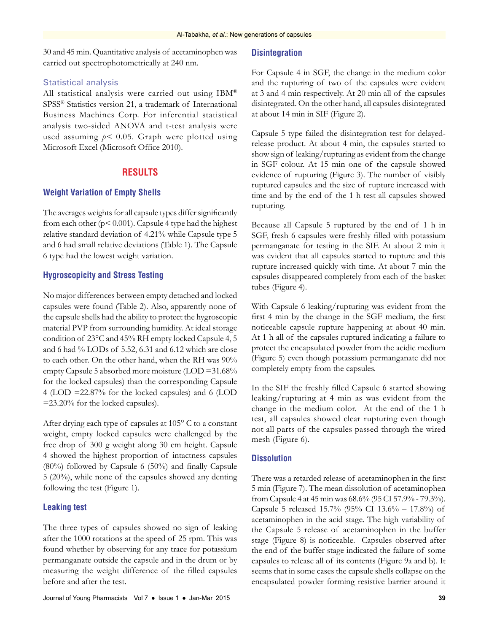30 and 45 min. Quantitative analysis of acetaminophen was carried out spectrophotometrically at 240 nm.

#### Statistical analysis

All statistical analysis were carried out using IBM® SPSS® Statistics version 21, a trademark of International Business Machines Corp. For inferential statistical analysis two-sided ANOVA and t-test analysis were used assuming *p<* 0.05. Graph were plotted using Microsoft Excel (Microsoft Office 2010).

## **RESULTS**

#### **Weight Variation of Empty Shells**

The averages weights for all capsule types differ significantly from each other (p< 0.001). Capsule 4 type had the highest relative standard deviation of 4.21% while Capsule type 5 and 6 had small relative deviations (Table 1). The Capsule 6 type had the lowest weight variation.

#### **Hygroscopicity and Stress Testing**

No major differences between empty detached and locked capsules were found (Table 2). Also, apparently none of the capsule shells had the ability to protect the hygroscopic material PVP from surrounding humidity. At ideal storage condition of 23°C and 45% RH empty locked Capsule 4, 5 and 6 had % LODs of 5.52, 6.31 and 6.12 which are close to each other. On the other hand, when the RH was 90% empty Capsule 5 absorbed more moisture (LOD =31.68% for the locked capsules) than the corresponding Capsule 4 (LOD =22.87% for the locked capsules) and 6 (LOD =23.20% for the locked capsules).

After drying each type of capsules at 105° C to a constant weight, empty locked capsules were challenged by the free drop of 300 g weight along 30 cm height. Capsule 4 showed the highest proportion of intactness capsules (80%) followed by Capsule 6 (50%) and finally Capsule 5 (20%), while none of the capsules showed any denting following the test (Figure 1).

## **Leaking test**

The three types of capsules showed no sign of leaking after the 1000 rotations at the speed of 25 rpm. This was found whether by observing for any trace for potassium permanganate outside the capsule and in the drum or by measuring the weight difference of the filled capsules before and after the test.

#### **Disintegration**

For Capsule 4 in SGF, the change in the medium color and the rupturing of two of the capsules were evident at 3 and 4 min respectively. At 20 min all of the capsules disintegrated. On the other hand, all capsules disintegrated at about 14 min in SIF (Figure 2).

Capsule 5 type failed the disintegration test for delayedrelease product. At about 4 min, the capsules started to show sign of leaking/rupturing as evident from the change in SGF colour. At 15 min one of the capsule showed evidence of rupturing (Figure 3). The number of visibly ruptured capsules and the size of rupture increased with time and by the end of the 1 h test all capsules showed rupturing.

Because all Capsule 5 ruptured by the end of 1 h in SGF, fresh 6 capsules were freshly filled with potassium permanganate for testing in the SIF. At about 2 min it was evident that all capsules started to rupture and this rupture increased quickly with time. At about 7 min the capsules disappeared completely from each of the basket tubes (Figure 4).

With Capsule 6 leaking/rupturing was evident from the first 4 min by the change in the SGF medium, the first noticeable capsule rupture happening at about 40 min. At 1 h all of the capsules ruptured indicating a failure to protect the encapsulated powder from the acidic medium (Figure 5) even though potassium permanganate did not completely empty from the capsules.

In the SIF the freshly filled Capsule 6 started showing leaking/rupturing at 4 min as was evident from the change in the medium color. At the end of the 1 h test, all capsules showed clear rupturing even though not all parts of the capsules passed through the wired mesh (Figure 6).

#### **Dissolution**

There was a retarded release of acetaminophen in the first 5 min (Figure 7). The mean dissolution of acetaminophen from Capsule 4 at 45 min was 68.6% (95 CI 57.9% - 79.3%). Capsule 5 released 15.7% (95% CI 13.6% – 17.8%) of acetaminophen in the acid stage. The high variability of the Capsule 5 release of acetaminophen in the buffer stage (Figure 8) is noticeable. Capsules observed after the end of the buffer stage indicated the failure of some capsules to release all of its contents (Figure 9a and b). It seems that in some cases the capsule shells collapse on the encapsulated powder forming resistive barrier around it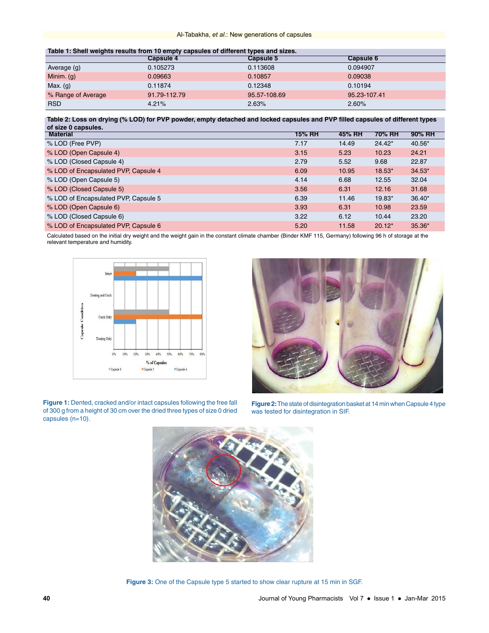| Table 1: Shell weights results from 10 empty capsules of different types and sizes. |  |  |  |
|-------------------------------------------------------------------------------------|--|--|--|
|                                                                                     |  |  |  |

|                    | <b>Capsule 4</b> | <b>Capsule 5</b> | <b>Capsule 6</b> |  |  |  |
|--------------------|------------------|------------------|------------------|--|--|--|
| Average (g)        | 0.105273         | 0.113608         | 0.094907         |  |  |  |
| Minim. $(g)$       | 0.09663          | 0.10857          | 0.09038          |  |  |  |
| Max. (g)           | 0.11874          | 0.12348          | 0.10194          |  |  |  |
| % Range of Average | 91.79-112.79     | 95.57-108.69     | 95.23-107.41     |  |  |  |
| <b>RSD</b>         | 4.21%            | 2.63%            | 2.60%            |  |  |  |

**Table 2: Loss on drying (% LOD) for PVP powder, empty detached and locked capsules and PVP filled capsules of different types of size 0 capsules.**

| <b>Material</b>                      | 15% RH | 45% RH | 70% RH   | 90% RH   |
|--------------------------------------|--------|--------|----------|----------|
| % LOD (Free PVP)                     | 7.17   | 14.49  | $24.42*$ | 40.56*   |
| % LOD (Open Capsule 4)               | 3.15   | 5.23   | 10.23    | 24.21    |
| % LOD (Closed Capsule 4)             | 2.79   | 5.52   | 9.68     | 22.87    |
| % LOD of Encapsulated PVP, Capsule 4 | 6.09   | 10.95  | $18.53*$ | $34.53*$ |
| % LOD (Open Capsule 5)               | 4.14   | 6.68   | 12.55    | 32.04    |
| % LOD (Closed Capsule 5)             | 3.56   | 6.31   | 12.16    | 31.68    |
| % LOD of Encapsulated PVP, Capsule 5 | 6.39   | 11.46  | 19.83*   | $36.40*$ |
| % LOD (Open Capsule 6)               | 3.93   | 6.31   | 10.98    | 23.59    |
| % LOD (Closed Capsule 6)             | 3.22   | 6.12   | 10.44    | 23.20    |
| % LOD of Encapsulated PVP, Capsule 6 | 5.20   | 11.58  | $20.12*$ | 35.36*   |

Calculated based on the initial dry weight and the weight gain in the constant climate chamber (Binder KMF 115, Germany) following 96 h of storage at the relevant temperature and humidity.



**Figure 1:** Dented, cracked and/or intact capsules following the free fall of 300 g from a height of 30 cm over the dried three types of size 0 dried capsules (n=10).



**Figure 2:** The state of disintegration basket at 14 min when Capsule 4 type was tested for disintegration in SIF.



**Figure 3:** One of the Capsule type 5 started to show clear rupture at 15 min in SGF.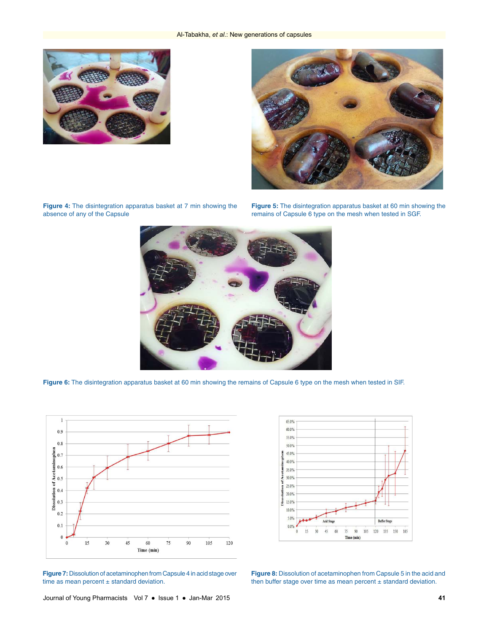



**Figure 4:** The disintegration apparatus basket at 7 min showing the absence of any of the Capsule

**Figure 5:** The disintegration apparatus basket at 60 min showing the remains of Capsule 6 type on the mesh when tested in SGF.



**Figure 6:** The disintegration apparatus basket at 60 min showing the remains of Capsule 6 type on the mesh when tested in SIF.



**Figure 7:** Dissolution of acetaminophen from Capsule 4 in acid stage over time as mean percent  $\pm$  standard deviation.



**Figure 8:** Dissolution of acetaminophen from Capsule 5 in the acid and then buffer stage over time as mean percent  $\pm$  standard deviation.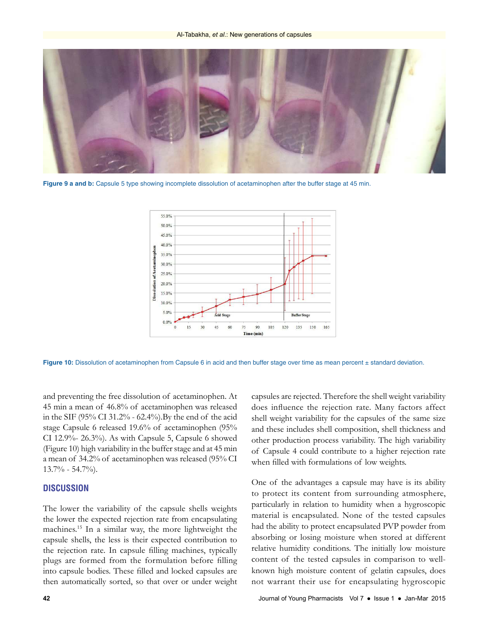

**Figure 9 a and b:** Capsule 5 type showing incomplete dissolution of acetaminophen after the buffer stage at 45 min.



**Figure 10:** Dissolution of acetaminophen from Capsule 6 in acid and then buffer stage over time as mean percent ± standard deviation.

and preventing the free dissolution of acetaminophen. At 45 min a mean of 46.8% of acetaminophen was released in the SIF (95% CI 31.2% - 62.4%).By the end of the acid stage Capsule 6 released 19.6% of acetaminophen (95% CI 12.9%- 26.3%). As with Capsule 5, Capsule 6 showed (Figure 10) high variability in the buffer stage and at 45 min a mean of 34.2% of acetaminophen was released (95% CI 13.7% - 54.7%).

#### **DISCUSSION**

The lower the variability of the capsule shells weights the lower the expected rejection rate from encapsulating machines.<sup>15</sup> In a similar way, the more lightweight the capsule shells, the less is their expected contribution to the rejection rate. In capsule filling machines, typically plugs are formed from the formulation before filling into capsule bodies. These filled and locked capsules are then automatically sorted, so that over or under weight

capsules are rejected. Therefore the shell weight variability does influence the rejection rate. Many factors affect shell weight variability for the capsules of the same size and these includes shell composition, shell thickness and other production process variability. The high variability of Capsule 4 could contribute to a higher rejection rate when filled with formulations of low weights.

One of the advantages a capsule may have is its ability to protect its content from surrounding atmosphere, particularly in relation to humidity when a hygroscopic material is encapsulated. None of the tested capsules had the ability to protect encapsulated PVP powder from absorbing or losing moisture when stored at different relative humidity conditions. The initially low moisture content of the tested capsules in comparison to wellknown high moisture content of gelatin capsules, does not warrant their use for encapsulating hygroscopic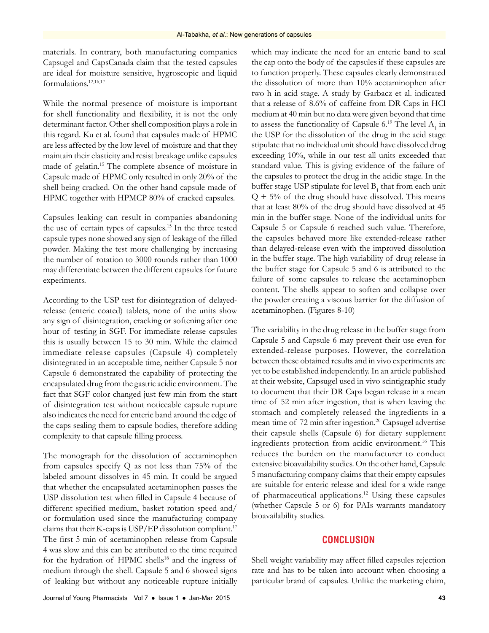materials. In contrary, both manufacturing companies Capsugel and CapsCanada claim that the tested capsules are ideal for moisture sensitive, hygroscopic and liquid formulations.12,16,17

While the normal presence of moisture is important for shell functionality and flexibility, it is not the only determinant factor. Other shell composition plays a role in this regard. Ku et al. found that capsules made of HPMC are less affected by the low level of moisture and that they maintain their elasticity and resist breakage unlike capsules made of gelatin.<sup>15</sup> The complete absence of moisture in Capsule made of HPMC only resulted in only 20% of the shell being cracked. On the other hand capsule made of HPMC together with HPMCP 80% of cracked capsules.

Capsules leaking can result in companies abandoning the use of certain types of capsules.<sup>15</sup> In the three tested capsule types none showed any sign of leakage of the filled powder. Making the test more challenging by increasing the number of rotation to 3000 rounds rather than 1000 may differentiate between the different capsules for future experiments.

According to the USP test for disintegration of delayedrelease (enteric coated) tablets, none of the units show any sign of disintegration, cracking or softening after one hour of testing in SGF. For immediate release capsules this is usually between 15 to 30 min. While the claimed immediate release capsules (Capsule 4) completely disintegrated in an acceptable time, neither Capsule 5 nor Capsule 6 demonstrated the capability of protecting the encapsulated drug from the gastric acidic environment. The fact that SGF color changed just few min from the start of disintegration test without noticeable capsule rupture also indicates the need for enteric band around the edge of the caps sealing them to capsule bodies, therefore adding complexity to that capsule filling process.

The monograph for the dissolution of acetaminophen from capsules specify Q as not less than 75% of the labeled amount dissolves in 45 min. It could be argued that whether the encapsulated acetaminophen passes the USP dissolution test when filled in Capsule 4 because of different specified medium, basket rotation speed and/ or formulation used since the manufacturing company claims that their K-caps is USP/EP dissolution compliant.<sup>17</sup> The first 5 min of acetaminophen release from Capsule 4 was slow and this can be attributed to the time required for the hydration of HPMC shells<sup>18</sup> and the ingress of medium through the shell. Capsule 5 and 6 showed signs of leaking but without any noticeable rupture initially which may indicate the need for an enteric band to seal the cap onto the body of the capsules if these capsules are to function properly. These capsules clearly demonstrated the dissolution of more than 10% acetaminophen after two h in acid stage. A study by Garbacz et al. indicated that a release of 8.6% of caffeine from DR Caps in HCl medium at 40 min but no data were given beyond that time to assess the functionality of Capsule  $6.^{19}$  The level  $A_1$  in the USP for the dissolution of the drug in the acid stage stipulate that no individual unit should have dissolved drug exceeding 10%, while in our test all units exceeded that standard value. This is giving evidence of the failure of the capsules to protect the drug in the acidic stage. In the buffer stage USP stipulate for level  $\mathrm{B}_\mathrm{1}$  that from each unit  $Q + 5%$  of the drug should have dissolved. This means that at least 80% of the drug should have dissolved at 45 min in the buffer stage. None of the individual units for Capsule 5 or Capsule 6 reached such value. Therefore, the capsules behaved more like extended-release rather than delayed-release even with the improved dissolution in the buffer stage. The high variability of drug release in the buffer stage for Capsule 5 and 6 is attributed to the failure of some capsules to release the acetaminophen content. The shells appear to soften and collapse over the powder creating a viscous barrier for the diffusion of acetaminophen. (Figures 8-10)

The variability in the drug release in the buffer stage from Capsule 5 and Capsule 6 may prevent their use even for extended-release purposes. However, the correlation between these obtained results and in vivo experiments are yet to be established independently. In an article published at their website, Capsugel used in vivo scintigraphic study to document that their DR Caps began release in a mean time of 52 min after ingestion, that is when leaving the stomach and completely released the ingredients in a mean time of 72 min after ingestion.<sup>20</sup> Capsugel advertise their capsule shells (Capsule 6) for dietary supplement ingredients protection from acidic environment.<sup>16</sup> This reduces the burden on the manufacturer to conduct extensive bioavailability studies. On the other hand, Capsule 5 manufacturing company claims that their empty capsules are suitable for enteric release and ideal for a wide range of pharmaceutical applications.<sup>12</sup> Using these capsules (whether Capsule 5 or 6) for PAIs warrants mandatory bioavailability studies.

## **CONCLUSION**

Shell weight variability may affect filled capsules rejection rate and has to be taken into account when choosing a particular brand of capsules. Unlike the marketing claim,